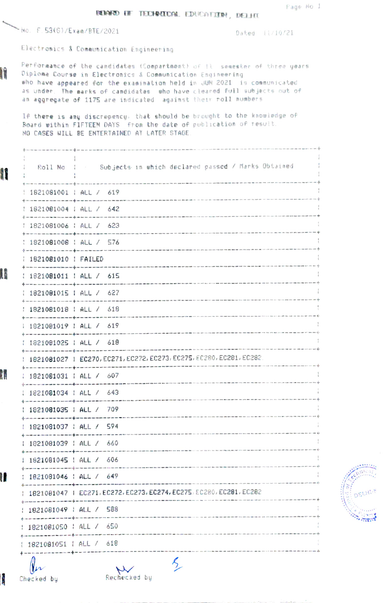## BEIGHTO EF TECHNECOM. EDUCATION, DELHI

No. F. 53(G)/Exam/BTE/2021

Dated 11/10/21

Electronics & Communication Engineering

Performance of the candidates (Compartment) of Il. semester of three years Diplome Course in Electronics & Communication Engineering who have appeared for the examination held in JUN 2021 is communicated as under. The marks of candidates who have cleared full subjects out of an aggregate of 1175 are indicated against their roll numbers

If there is any discrepency, that should be brought to the knowledge of<br>Board within FIFTEEM DAYS from the date of publication of result. NO CASES WILL BE ENTERTAINED AT LATER STAGE.

| I  |                                                                                                                                               | Roll No : - Subjects in which declared passed / Marks Obtained       |  |
|----|-----------------------------------------------------------------------------------------------------------------------------------------------|----------------------------------------------------------------------|--|
|    | 1821081001   ALL / 619                                                                                                                        |                                                                      |  |
|    | 1821081004   ALL / 642                                                                                                                        |                                                                      |  |
|    | .<br>In the contract of the contract state of the contract of the contract of the contract of the contract of the c<br>1821081006   ALL / 623 |                                                                      |  |
|    | 1821081008   ALL / 576                                                                                                                        |                                                                      |  |
|    | 1821081010   FAILED                                                                                                                           |                                                                      |  |
| I  | : 1821081011 : ALL / 615                                                                                                                      |                                                                      |  |
|    | 1821081015   ALL / 627                                                                                                                        |                                                                      |  |
|    | 6 met met en en en en met met met de met met met met met met<br>1821081018   ALL / 618                                                        |                                                                      |  |
|    | 1821081019   ALL / 619                                                                                                                        |                                                                      |  |
|    | : 1821081025 : ALL / 618                                                                                                                      |                                                                      |  |
|    |                                                                                                                                               | 1821081027   EC270, EC271, EC272, EC273, EC275, EC280, EC281, EC282. |  |
| Ā. | 1821081031   ALL / 607                                                                                                                        |                                                                      |  |
|    | : 1821081034 : ALL / 643                                                                                                                      |                                                                      |  |
|    | 1821081035   ALL / 709                                                                                                                        |                                                                      |  |
|    | 1821081037   ALL / 594                                                                                                                        |                                                                      |  |
|    | 1 1821081039   ALL / 660                                                                                                                      |                                                                      |  |
|    | 1821081045   ALL / 606                                                                                                                        |                                                                      |  |
| H  | : 1821081046 : ALL / 649                                                                                                                      |                                                                      |  |
|    |                                                                                                                                               | 1821081047   EC271, EC272, EC273, EC274, EC275, EC280, EC281, EC282  |  |
|    | 1821081049   ALL / 588                                                                                                                        |                                                                      |  |
|    | 1821081050                                                                                                                                    | ALL / 650                                                            |  |
|    | 1821081051   ALL / 618                                                                                                                        |                                                                      |  |
|    |                                                                                                                                               |                                                                      |  |
|    |                                                                                                                                               |                                                                      |  |



ļ, Checked by

Rechecked by